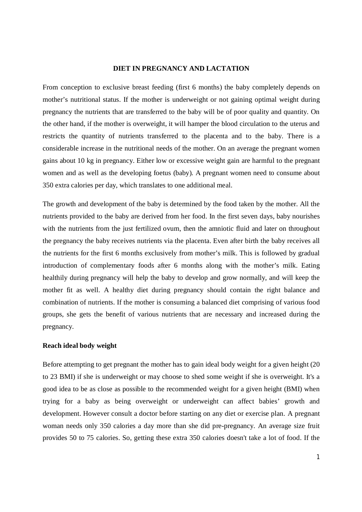#### **DIET IN PREGNANCY AND LACTATION**

From conception to exclusive breast feeding (first 6 months) the baby completely depends on mother's nutritional status. If the mother is underweight or not gaining optimal weight during pregnancy the nutrients that are transferred to the baby will be of poor quality and quantity. On the other hand, if the mother is overweight, it will hamper the blood circulation to the uterus and restricts the quantity of nutrients transferred to the placenta and to the baby. There is a considerable increase in the nutritional needs of the mother. On an average the pregnant women gains about 10 kg in pregnancy. Either low or excessive weight gain are harmful to the pregnant women and as well as the developing foetus (baby). A pregnant women need to consume about 350 extra calories per day, which translates to one additional meal.

The growth and development of the baby is determined by the food taken by the mother. All the nutrients provided to the baby are derived from her food. In the first seven days, baby nourishes with the nutrients from the just fertilized ovum, then the amniotic fluid and later on throughout the pregnancy the baby receives nutrients via the placenta. Even after birth the baby receives all the nutrients for the first 6 months exclusively from mother's milk. This is followed by gradual introduction of complementary foods after 6 months along with the mother's milk. Eating healthily during pregnancy will help the baby to develop and grow normally, and will keep the mother fit as well. A healthy diet during pregnancy should contain the right balance and combination of nutrients. If the mother is consuming a balanced diet comprising of various food groups, she gets the benefit of various nutrients that are necessary and increased during the pregnancy.

#### **Reach ideal body weight**

Before attempting to get pregnant the mother has to gain ideal body weight for a given height (20 to 23 BMI) if she is underweight or may choose to shed some weight if she is overweight. It's a good idea to be as close as possible to the recommended weight for a given height (BMI) when trying for a baby as being overweight or underweight can affect babies' growth and development. However consult a doctor before starting on any diet or exercise plan. A pregnant woman needs only 350 calories a day more than she did pre-pregnancy. An average size fruit provides 50 to 75 calories. So, getting these extra 350 calories doesn't take a lot of food. If the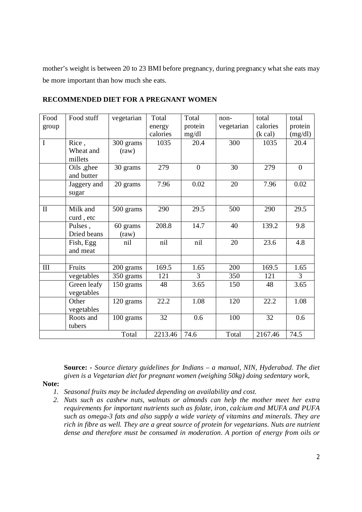mother's weight is between 20 to 23 BMI before pregnancy, during pregnancy what she eats may be more important than how much she eats.

| Food           | Food stuff  | vegetarian     | Total    | Total          | $non-$     | total             | total    |
|----------------|-------------|----------------|----------|----------------|------------|-------------------|----------|
| group          |             |                | energy   | protein        | vegetarian | calories          | protein  |
|                |             |                | calories | mg/dl          |            | $(k \text{ cal})$ | (mg/dl)  |
| $\overline{I}$ | Rice,       | 300 grams      | 1035     | 20.4           | 300        | 1035              | 20.4     |
|                | Wheat and   | $\text{(raw)}$ |          |                |            |                   |          |
|                | millets     |                |          |                |            |                   |          |
|                | Oils ,ghee  | 30 grams       | 279      | $\overline{0}$ | 30         | 279               | $\theta$ |
|                | and butter  |                |          |                |            |                   |          |
|                | Jaggery and | 20 grams       | 7.96     | 0.02           | 20         | 7.96              | 0.02     |
|                | sugar       |                |          |                |            |                   |          |
|                |             |                |          |                |            |                   |          |
| $\mathbf{I}$   | Milk and    | 500 grams      | 290      | 29.5           | 500        | 290               | 29.5     |
|                | curd, etc   |                |          |                |            |                   |          |
|                | Pulses,     | 60 grams       | 208.8    | 14.7           | 40         | 139.2             | 9.8      |
|                | Dried beans | $\text{(raw)}$ |          |                |            |                   |          |
|                | Fish, Egg   | nil            | nil      | nil            | 20         | 23.6              | 4.8      |
|                | and meat    |                |          |                |            |                   |          |
|                |             |                |          |                |            |                   |          |
| $\rm III$      | Fruits      | 200 grams      | 169.5    | 1.65           | 200        | 169.5             | 1.65     |
|                | vegetables  | 350 grams      | 121      | 3              | 350        | 121               | 3        |
|                | Green leafy | 150 grams      | 48       | 3.65           | 150        | 48                | 3.65     |
|                | vegetables  |                |          |                |            |                   |          |
|                | Other       | 120 grams      | 22.2     | 1.08           | 120        | 22.2              | 1.08     |
|                | vegetables  |                |          |                |            |                   |          |
|                | Roots and   | 100 grams      | 32       | 0.6            | 100        | 32                | 0.6      |
|                | tubers      |                |          |                |            |                   |          |
| Total          |             | 2213.46        | 74.6     | Total          | 2167.46    | 74.5              |          |

**RECOMMENDED DIET FOR A PREGNANT WOMEN**

**Source: -** *Source dietary guidelines for Indians – a manual, NIN, Hyderabad. The diet given is a Vegetarian diet for pregnant women (weighing 50kg) doing sedentary work,* 

**Note:** 

- *1. Seasonal fruits may be included depending on availability and cost.*
- *2. Nuts such as cashew nuts, walnuts or almonds can help the mother meet her extra requirements for important nutrients such as folate, iron, calcium and MUFA and PUFA such as omega-3 fats and also supply a wide variety of vitamins and minerals. They are rich in fibre as well. They are a great source of protein for vegetarians. Nuts are nutrient dense and therefore must be consumed in moderation. A portion of energy from oils or*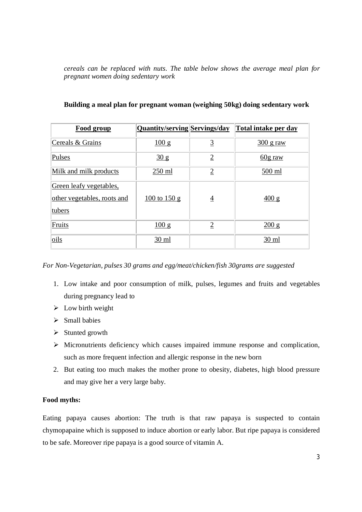*cereals can be replaced with nuts. The table below shows the average meal plan for pregnant women doing sedentary work*

| <b>Food group</b>           | <b>Quantity/serving Servings/day</b>      |                | <b>Total intake per day</b> |
|-----------------------------|-------------------------------------------|----------------|-----------------------------|
| Cereals & Grains            | 100 g                                     | $\overline{3}$ | $300$ g raw                 |
| Pulses                      | $\frac{30 \text{ g}}{2}$                  | $\overline{2}$ | $60g$ raw                   |
| Milk and milk products      | 250 ml                                    | $\overline{2}$ | 500 ml                      |
| Green leafy vegetables,     |                                           |                |                             |
| other vegetables, roots and | $\frac{100 \text{ to } 150 \text{ g}}{2}$ | $\overline{4}$ | $\frac{400 \text{ g}}{ }$   |
| tubers                      |                                           |                |                             |
| Fruits                      | $\frac{100 \text{ g}}{2}$                 | $\overline{2}$ | 200 g                       |
| oils                        | $30 \text{ ml}$                           |                | $30 \text{ ml}$             |

# **Building a meal plan for pregnant woman (weighing 50kg) doing sedentary work**

*For Non-Vegetarian, pulses 30 grams and egg/meat/chicken/fish 30grams are suggested*

- 1. Low intake and poor consumption of milk, pulses, legumes and fruits and vegetables during pregnancy lead to
- $\triangleright$  Low birth weight
- $\triangleright$  Small babies
- $\triangleright$  Stunted growth
- $\triangleright$  Micronutrients deficiency which causes impaired immune response and complication, such as more frequent infection and allergic response in the new born
- 2. But eating too much makes the mother prone to obesity, diabetes, high blood pressure and may give her a very large baby.

# **Food myths:**

Eating papaya causes abortion: The truth is that raw papaya is suspected to contain chymopapaine which is supposed to induce abortion or early labor. But ripe papaya is considered to be safe. Moreover ripe papaya is a good source of vitamin A.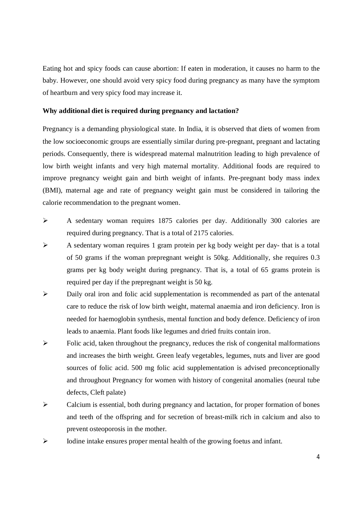Eating hot and spicy foods can cause abortion: If eaten in moderation, it causes no harm to the baby. However, one should avoid very spicy food during pregnancy as many have the symptom of heartburn and very spicy food may increase it.

#### **Why additional diet is required during pregnancy and lactation?**

Pregnancy is a demanding physiological state. In India, it is observed that diets of women from the low socioeconomic groups are essentially similar during pre-pregnant, pregnant and lactating periods. Consequently, there is widespread maternal malnutrition leading to high prevalence of low birth weight infants and very high maternal mortality. Additional foods are required to improve pregnancy weight gain and birth weight of infants. Pre-pregnant body mass index (BMI), maternal age and rate of pregnancy weight gain must be considered in tailoring the calorie recommendation to the pregnant women.

- A sedentary woman requires 1875 calories per day. Additionally 300 calories are required during pregnancy. That is a total of 2175 calories.
- $\triangleright$  A sedentary woman requires 1 gram protein per kg body weight per day- that is a total of 50 grams if the woman prepregnant weight is 50kg. Additionally, she requires 0.3 grams per kg body weight during pregnancy. That is, a total of 65 grams protein is required per day if the prepregnant weight is 50 kg.
- $\triangleright$  Daily oral iron and folic acid supplementation is recommended as part of the antenatal care to reduce the risk of low birth weight, maternal anaemia and iron deficiency. Iron is needed for haemoglobin synthesis, mental function and body defence. Deficiency of iron leads to anaemia. Plant foods like legumes and dried fruits contain iron.
- $\triangleright$  Folic acid, taken throughout the pregnancy, reduces the risk of congenital malformations and increases the birth weight. Green leafy vegetables, legumes, nuts and liver are good sources of folic acid. 500 mg folic acid supplementation is advised preconceptionally and throughout Pregnancy for women with history of congenital anomalies (neural tube defects, Cleft palate)
- Calcium is essential, both during pregnancy and lactation, for proper formation of bones and teeth of the offspring and for secretion of breast-milk rich in calcium and also to prevent osteoporosis in the mother.
- $\triangleright$  Iodine intake ensures proper mental health of the growing foetus and infant.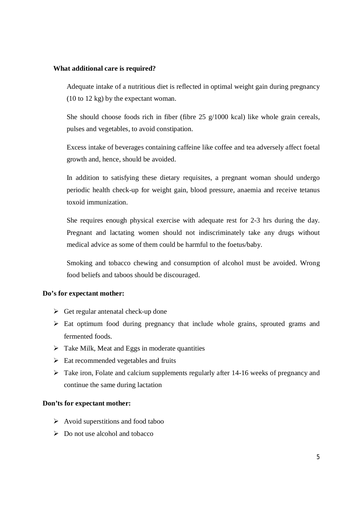#### **What additional care is required?**

Adequate intake of a nutritious diet is reflected in optimal weight gain during pregnancy (10 to 12 kg) by the expectant woman.

She should choose foods rich in fiber (fibre 25 g/1000 kcal) like whole grain cereals, pulses and vegetables, to avoid constipation.

Excess intake of beverages containing caffeine like coffee and tea adversely affect foetal growth and, hence, should be avoided.

In addition to satisfying these dietary requisites, a pregnant woman should undergo periodic health check-up for weight gain, blood pressure, anaemia and receive tetanus toxoid immunization.

She requires enough physical exercise with adequate rest for 2-3 hrs during the day. Pregnant and lactating women should not indiscriminately take any drugs without medical advice as some of them could be harmful to the foetus/baby.

Smoking and tobacco chewing and consumption of alcohol must be avoided. Wrong food beliefs and taboos should be discouraged.

## **Do's for expectant mother:**

- $\triangleright$  Get regular antenatal check-up done
- $\triangleright$  Eat optimum food during pregnancy that include whole grains, sprouted grams and fermented foods.
- $\triangleright$  Take Milk, Meat and Eggs in moderate quantities
- $\triangleright$  Eat recommended vegetables and fruits
- $\triangleright$  Take iron, Folate and calcium supplements regularly after 14-16 weeks of pregnancy and continue the same during lactation

# **Don'ts for expectant mother:**

- $\triangleright$  Avoid superstitions and food taboo
- $\triangleright$  Do not use alcohol and tobacco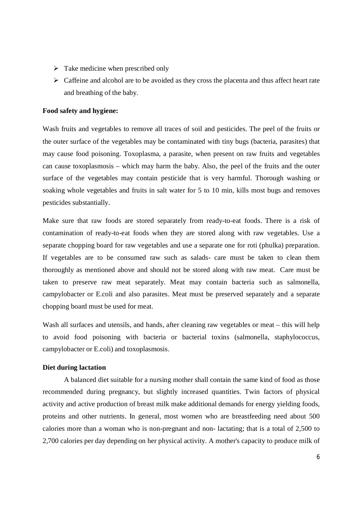- $\triangleright$  Take medicine when prescribed only
- $\triangleright$  Caffeine and alcohol are to be avoided as they cross the placenta and thus affect heart rate and breathing of the baby.

## **Food safety and hygiene:**

Wash fruits and vegetables to remove all traces of soil and pesticides. The peel of the fruits or the outer surface of the vegetables may be contaminated with tiny bugs (bacteria, parasites) that may cause food poisoning. Toxoplasma, a parasite, when present on raw fruits and vegetables can cause toxoplasmosis – which may harm the baby. Also, the peel of the fruits and the outer surface of the vegetables may contain pesticide that is very harmful. Thorough washing or soaking whole vegetables and fruits in salt water for 5 to 10 min, kills most bugs and removes pesticides substantially.

Make sure that raw foods are stored separately from ready-to-eat foods. There is a risk of contamination of ready-to-eat foods when they are stored along with raw vegetables. Use a separate chopping board for raw vegetables and use a separate one for roti (phulka) preparation. If vegetables are to be consumed raw such as salads- care must be taken to clean them thoroughly as mentioned above and should not be stored along with raw meat. Care must be taken to preserve raw meat separately. Meat may contain bacteria such as salmonella, campylobacter or E.coli and also parasites. Meat must be preserved separately and a separate chopping board must be used for meat.

Wash all surfaces and utensils, and hands, after cleaning raw vegetables or meat – this will help to avoid food poisoning with bacteria or bacterial toxins (salmonella, staphylococcus, campylobacter or E.coli) and toxoplasmosis.

# **Diet during lactation**

A balanced diet suitable for a nursing mother shall contain the same kind of food as those recommended during pregnancy, but slightly increased quantities. Twin factors of physical activity and active production of breast milk make additional demands for energy yielding foods, proteins and other nutrients. In general, most women who are breastfeeding need about 500 calories more than a woman who is non-pregnant and non- lactating; that is a total of 2,500 to 2,700 calories per day depending on her physical activity. A mother's capacity to produce milk of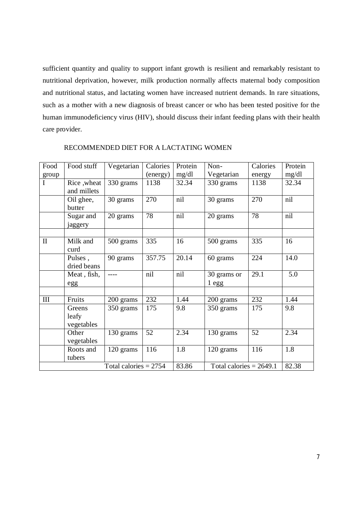sufficient quantity and quality to support infant growth is resilient and remarkably resistant to nutritional deprivation, however, milk production normally affects maternal body composition and nutritional status, and lactating women have increased nutrient demands. In rare situations, such as a mother with a new diagnosis of breast cancer or who has been tested positive for the human immunodeficiency virus (HIV), should discuss their infant feeding plans with their health care provider.

| Food                    | Food stuff           | Vegetarian | Calories | Protein                   | Non-        | Calories | Protein |
|-------------------------|----------------------|------------|----------|---------------------------|-------------|----------|---------|
| group                   |                      |            | (energy) | mg/dl                     | Vegetarian  | energy   | mg/dl   |
| $\mathbf I$             | Rice, wheat          | 330 grams  | 1138     | 32.34                     | 330 grams   | 1138     | 32.34   |
|                         | and millets          |            |          |                           |             |          |         |
|                         | Oil ghee,<br>butter  | 30 grams   | 270      | nil                       | 30 grams    | 270      | nil     |
|                         | Sugar and<br>jaggery | 20 grams   | 78       | nil                       | 20 grams    | 78       | nil     |
|                         |                      |            |          |                           |             |          |         |
| $\mathbf{I}$            | Milk and             | 500 grams  | 335      | 16                        | 500 grams   | 335      | 16      |
|                         | curd                 |            |          |                           |             |          |         |
|                         | Pulses,              | 90 grams   | 357.75   | 20.14                     | 60 grams    | 224      | 14.0    |
|                         | dried beans          |            |          |                           |             |          |         |
|                         | Meat, fish,          | ----       | nil      | nil                       | 30 grams or | 29.1     | 5.0     |
|                         | egg                  |            |          |                           | 1egg        |          |         |
|                         |                      |            |          |                           |             |          |         |
| $\rm III$               | Fruits               | 200 grams  | 232      | 1.44                      | 200 grams   | 232      | 1.44    |
|                         | Greens               | 350 grams  | 175      | 9.8                       | 350 grams   | 175      | 9.8     |
|                         | leafy                |            |          |                           |             |          |         |
|                         | vegetables           |            |          |                           |             |          |         |
|                         | Other                | 130 grams  | 52       | 2.34                      | 130 grams   | 52       | 2.34    |
|                         | vegetables           |            |          |                           |             |          |         |
|                         | Roots and            | 120 grams  | 116      | 1.8                       | 120 grams   | 116      | 1.8     |
|                         | tubers               |            |          |                           |             |          |         |
| Total calories $= 2754$ |                      |            | 83.86    | Total calories = $2649.1$ |             | 82.38    |         |

## RECOMMENDED DIET FOR A LACTATING WOMEN